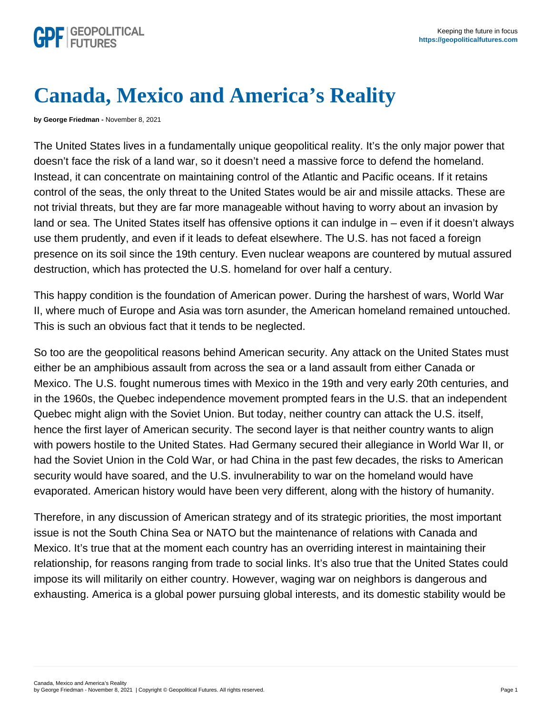## Canada, Mexico and America's Reality

by George Friedman - November 8, 2021

The United States lives in a fundamentally unique geopolitical reality. It's the only major power that doesn't face the risk of a land war, so it doesn't need a massive force to defend the homeland. Instead, it can concentrate on maintaining control of the Atlantic and Pacific oceans. If it retains control of the seas, the only threat to the United States would be air and missile attacks. These are not trivial threats, but they are far more manageable without having to worry about an invasion by land or sea. The United States itself has offensive options it can indulge in – even if it doesn't always use them prudently, and even if it leads to defeat elsewhere. The U.S. has not faced a foreign presence on its soil since the 19th century. Even nuclear weapons are countered by mutual assured destruction, which has protected the U.S. homeland for over half a century.

This happy condition is the foundation of American power. During the harshest of wars, World War II, where much of Europe and Asia was torn asunder, the American homeland remained untouched. This is such an obvious fact that it tends to be neglected.

So too are the geopolitical reasons behind American security. Any attack on the United States must either be an amphibious assault from across the sea or a land assault from either Canada or Mexico. The U.S. fought numerous times with Mexico in the 19th and very early 20th centuries, and in the 1960s, the Quebec independence movement prompted fears in the U.S. that an independent Quebec might align with the Soviet Union. But today, neither country can attack the U.S. itself, hence the first layer of American security. The second layer is that neither country wants to align with powers hostile to the United States. Had Germany secured their allegiance in World War II, or had the Soviet Union in the Cold War, or had China in the past few decades, the risks to American security would have soared, and the U.S. invulnerability to war on the homeland would have evaporated. American history would have been very different, along with the history of humanity.

Therefore, in any discussion of American strategy and of its strategic priorities, the most important issue is not the South China Sea or NATO but the maintenance of relations with Canada and Mexico. It's true that at the moment each country has an overriding interest in maintaining their relationship, for reasons ranging from trade to social links. It's also true that the United States could impose its will militarily on either country. However, waging war on neighbors is dangerous and exhausting. America is a global power pursuing global interests, and its domestic stability would be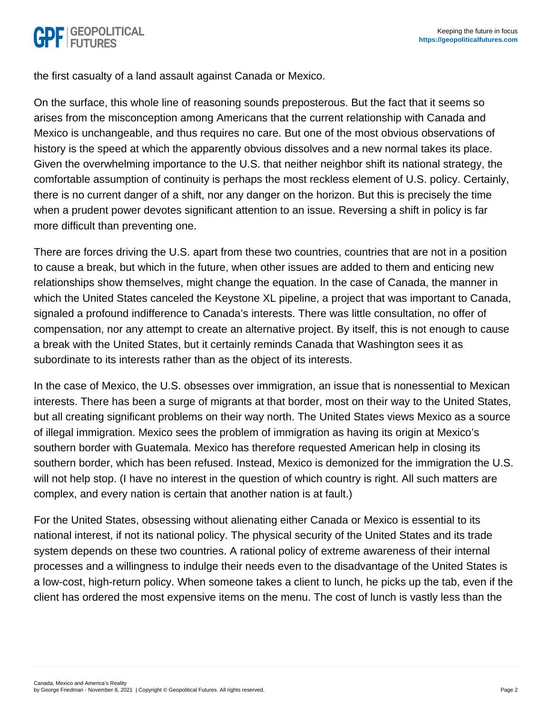the first casualty of a land assault against Canada or Mexico.

On the surface, this whole line of reasoning sounds preposterous. But the fact that it seems so arises from the misconception among Americans that the current relationship with Canada and Mexico is unchangeable, and thus requires no care. But one of the most obvious observations of history is the speed at which the apparently obvious dissolves and a new normal takes its place. Given the overwhelming importance to the U.S. that neither neighbor shift its national strategy, the comfortable assumption of continuity is perhaps the most reckless element of U.S. policy. Certainly, there is no current danger of a shift, nor any danger on the horizon. But this is precisely the time when a prudent power devotes significant attention to an issue. Reversing a shift in policy is far more difficult than preventing one.

There are forces driving the U.S. apart from these two countries, countries that are not in a position to cause a break, but which in the future, when other issues are added to them and enticing new relationships show themselves, might change the equation. In the case of Canada, the manner in which the United States canceled the Keystone XL pipeline, a project that was important to Canada, signaled a profound indifference to Canada's interests. There was little consultation, no offer of compensation, nor any attempt to create an alternative project. By itself, this is not enough to cause a break with the United States, but it certainly reminds Canada that Washington sees it as subordinate to its interests rather than as the object of its interests.

In the case of Mexico, the U.S. obsesses over immigration, an issue that is nonessential to Mexican interests. There has been a surge of migrants at that border, most on their way to the United States, but all creating significant problems on their way north. The United States views Mexico as a source of illegal immigration. Mexico sees the problem of immigration as having its origin at Mexico's southern border with Guatemala. Mexico has therefore requested American help in closing its southern border, which has been refused. Instead, Mexico is demonized for the immigration the U.S. will not help stop. (I have no interest in the question of which country is right. All such matters are complex, and every nation is certain that another nation is at fault.)

For the United States, obsessing without alienating either Canada or Mexico is essential to its national interest, if not its national policy. The physical security of the United States and its trade system depends on these two countries. A rational policy of extreme awareness of their internal processes and a willingness to indulge their needs even to the disadvantage of the United States is a low-cost, high-return policy. When someone takes a client to lunch, he picks up the tab, even if the client has ordered the most expensive items on the menu. The cost of lunch is vastly less than the